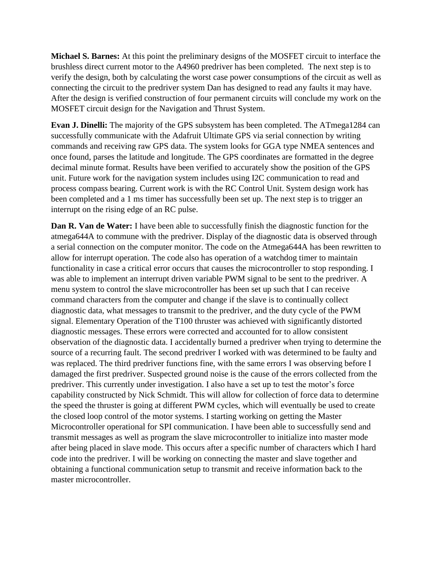**Michael S. Barnes:** At this point the preliminary designs of the MOSFET circuit to interface the brushless direct current motor to the A4960 predriver has been completed. The next step is to verify the design, both by calculating the worst case power consumptions of the circuit as well as connecting the circuit to the predriver system Dan has designed to read any faults it may have. After the design is verified construction of four permanent circuits will conclude my work on the MOSFET circuit design for the Navigation and Thrust System.

**Evan J. Dinelli:** The majority of the GPS subsystem has been completed. The ATmega1284 can successfully communicate with the Adafruit Ultimate GPS via serial connection by writing commands and receiving raw GPS data. The system looks for GGA type NMEA sentences and once found, parses the latitude and longitude. The GPS coordinates are formatted in the degree decimal minute format. Results have been verified to accurately show the position of the GPS unit. Future work for the navigation system includes using I2C communication to read and process compass bearing. Current work is with the RC Control Unit. System design work has been completed and a 1 ms timer has successfully been set up. The next step is to trigger an interrupt on the rising edge of an RC pulse.

**Dan R. Van de Water:** I have been able to successfully finish the diagnostic function for the atmega644A to commune with the predriver. Display of the diagnostic data is observed through a serial connection on the computer monitor. The code on the Atmega644A has been rewritten to allow for interrupt operation. The code also has operation of a watchdog timer to maintain functionality in case a critical error occurs that causes the microcontroller to stop responding. I was able to implement an interrupt driven variable PWM signal to be sent to the predriver. A menu system to control the slave microcontroller has been set up such that I can receive command characters from the computer and change if the slave is to continually collect diagnostic data, what messages to transmit to the predriver, and the duty cycle of the PWM signal. Elementary Operation of the T100 thruster was achieved with significantly distorted diagnostic messages. These errors were corrected and accounted for to allow consistent observation of the diagnostic data. I accidentally burned a predriver when trying to determine the source of a recurring fault. The second predriver I worked with was determined to be faulty and was replaced. The third predriver functions fine, with the same errors I was observing before I damaged the first predriver. Suspected ground noise is the cause of the errors collected from the predriver. This currently under investigation. I also have a set up to test the motor's force capability constructed by Nick Schmidt. This will allow for collection of force data to determine the speed the thruster is going at different PWM cycles, which will eventually be used to create the closed loop control of the motor systems. I starting working on getting the Master Microcontroller operational for SPI communication. I have been able to successfully send and transmit messages as well as program the slave microcontroller to initialize into master mode after being placed in slave mode. This occurs after a specific number of characters which I hard code into the predriver. I will be working on connecting the master and slave together and obtaining a functional communication setup to transmit and receive information back to the master microcontroller.